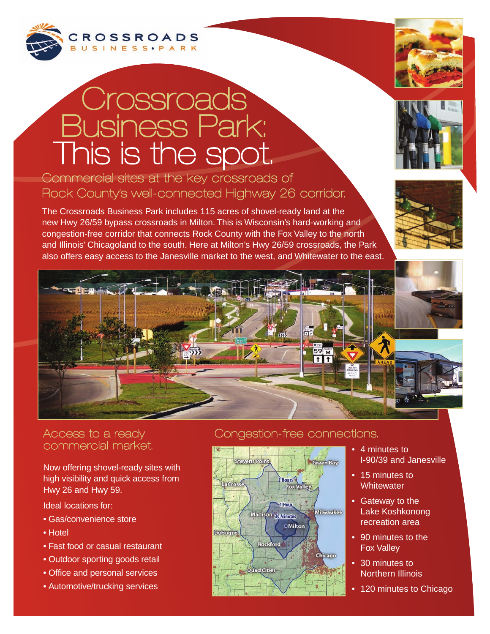

# **Crossroads** Business Park: This is the spot.

### Commercial sites at the key crossroads of Rock County's well-connected Highway 26 corridor.

The Crossroads Business Park includes 115 acres of shovel-ready land at the new Hwy 26/59 bypass crossroads in Milton. This is Wisconsin's hard-working and congestion-free corridor that connects Rock County with the Fox Valley to the north and Illinois' Chicagoland to the south. Here at Milton's Hwy 26/59 crossroads, the Park also offers easy access to the Janesville market to the west, and Whitewater to the east.









#### Access to a ready commercial market.

Now offering shovel-ready sites with high visibility and quick access from Hwy 26 and Hwy 59.

Ideal locations for:

- Gas/convenience store
- Hotel
- Fast food or casual restaurant
- Outdoor sporting goods retail
- Office and personal services
- Automotive/trucking services

#### Congestion-free connections.



- 4 minutes to I-90/39 and Janesville
- 15 minutes to **Whitewater**
- Gateway to the Lake Koshkonong recreation area
- 90 minutes to the Fox Valley
- 30 minutes to Northern Illinois
- 120 minutes to Chicago